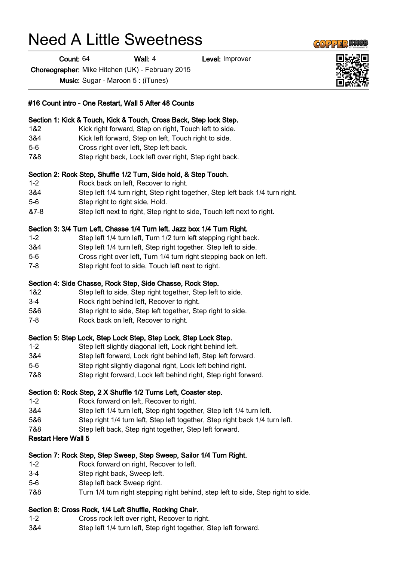# Need A Little Sweetness

Count: 64 Wall: 4 Level: Improver

Choreographer: Mike Hitchen (UK) - February 2015

Music: Sugar - Maroon 5 : (iTunes)

#### #16 Count intro - One Restart, Wall 5 After 48 Counts

#### Section 1: Kick & Touch, Kick & Touch, Cross Back, Step lock Step.

- 1&2 Kick right forward, Step on right, Touch left to side.
- 3&4 Kick left forward, Step on left, Touch right to side.
- 5-6 Cross right over left, Step left back.
- 7&8 Step right back, Lock left over right, Step right back.

#### Section 2: Rock Step, Shuffle 1/2 Turn, Side hold, & Step Touch.

- 1-2 Rock back on left, Recover to right.
- 3&4 Step left 1/4 turn right, Step right together, Step left back 1/4 turn right.
- 5-6 Step right to right side, Hold.
- &7-8 Step left next to right, Step right to side, Touch left next to right.

#### Section 3: 3/4 Turn Left, Chasse 1/4 Turn left. Jazz box 1/4 Turn Right.

- 1-2 Step left 1/4 turn left, Turn 1/2 turn left stepping right back.
- 3&4 Step left 1/4 turn left, Step right together. Step left to side.
- 5-6 Cross right over left, Turn 1/4 turn right stepping back on left.
- 7-8 Step right foot to side, Touch left next to right.

#### Section 4: Side Chasse, Rock Step, Side Chasse, Rock Step.

- 1&2 Step left to side, Step right together, Step left to side.
- 3-4 Rock right behind left, Recover to right.
- 5&6 Step right to side, Step left together, Step right to side.
- 7-8 Rock back on left, Recover to right.

#### Section 5: Step Lock, Step Lock Step, Step Lock, Step Lock Step.

- 1-2 Step left slightly diagonal left, Lock right behind left.
- 3&4 Step left forward, Lock right behind left, Step left forward.
- 5-6 Step right slightly diagonal right, Lock left behind right.
- 7&8 Step right forward, Lock left behind right, Step right forward.

#### Section 6: Rock Step, 2 X Shuffle 1/2 Turns Left, Coaster step.

- 1-2 Rock forward on left, Recover to right.
- 3&4 Step left 1/4 turn left, Step right together, Step left 1/4 turn left.
- 5&6 Step right 1/4 turn left, Step left together, Step right back 1/4 turn left.
- 7&8 Step left back, Step right together, Step left forward.

#### Restart Here Wall 5

## Section 7: Rock Step, Step Sweep, Step Sweep, Sailor 1/4 Turn Right.

- 1-2 Rock forward on right, Recover to left.
- 3-4 Step right back, Sweep left.
- 5-6 Step left back Sweep right.
- 7&8 Turn 1/4 turn right stepping right behind, step left to side, Step right to side.

## Section 8: Cross Rock, 1/4 Left Shuffle, Rocking Chair.

- 1-2 Cross rock left over right, Recover to right.
- 3&4 Step left 1/4 turn left, Step right together, Step left forward.